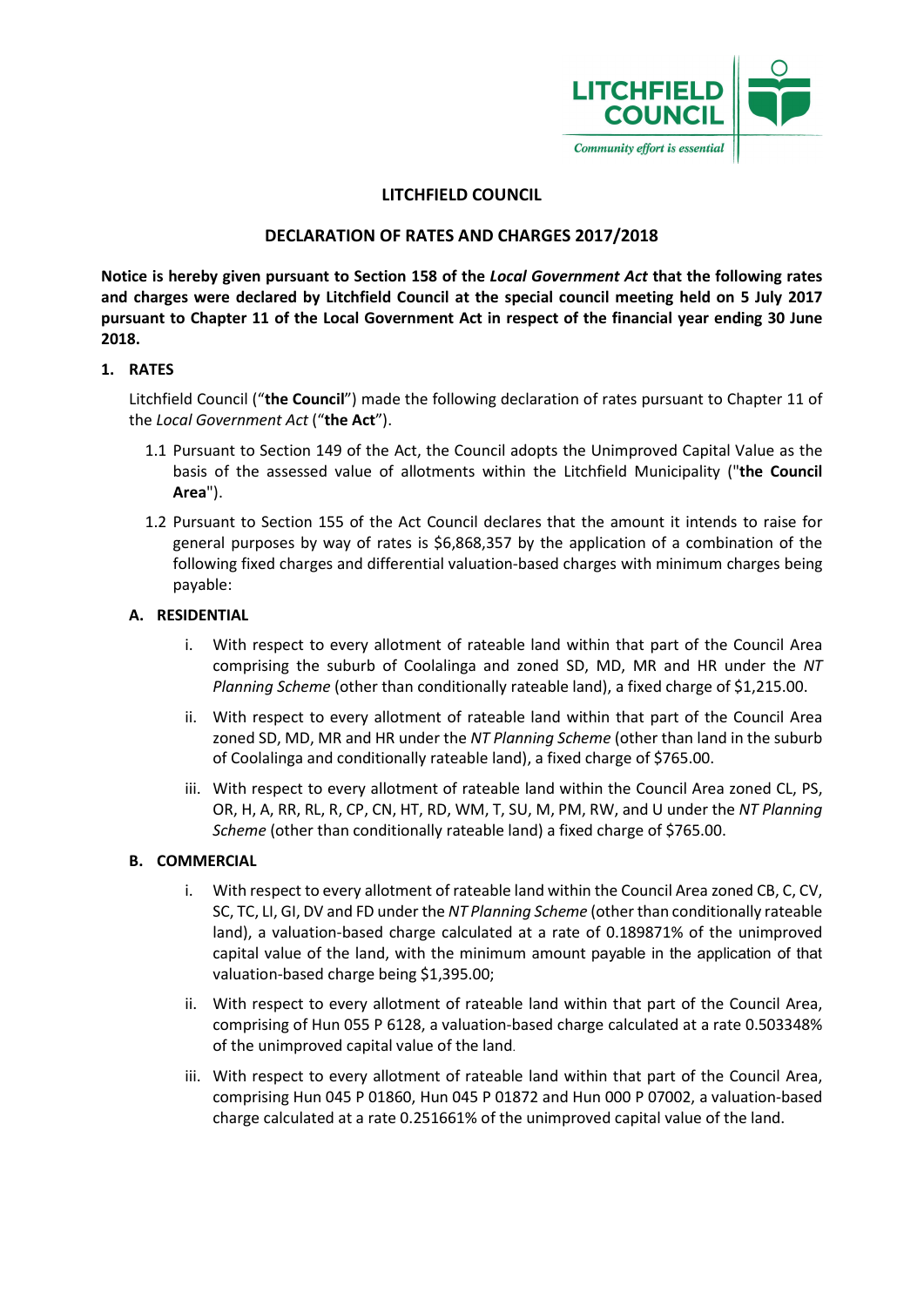

# LITCHFIELD COUNCIL

## DECLARATION OF RATES AND CHARGES 2017/2018

Notice is hereby given pursuant to Section 158 of the Local Government Act that the following rates and charges were declared by Litchfield Council at the special council meeting held on 5 July 2017 pursuant to Chapter 11 of the Local Government Act in respect of the financial year ending 30 June 2018.

#### 1. RATES

Litchfield Council ("the Council") made the following declaration of rates pursuant to Chapter 11 of the Local Government Act ("the Act").

- 1.1 Pursuant to Section 149 of the Act, the Council adopts the Unimproved Capital Value as the basis of the assessed value of allotments within the Litchfield Municipality ("the Council Area").
- 1.2 Pursuant to Section 155 of the Act Council declares that the amount it intends to raise for general purposes by way of rates is \$6,868,357 by the application of a combination of the following fixed charges and differential valuation-based charges with minimum charges being payable:

#### A. RESIDENTIAL

- i. With respect to every allotment of rateable land within that part of the Council Area comprising the suburb of Coolalinga and zoned SD, MD, MR and HR under the NT Planning Scheme (other than conditionally rateable land), a fixed charge of \$1,215.00.
- ii. With respect to every allotment of rateable land within that part of the Council Area zoned SD, MD, MR and HR under the NT Planning Scheme (other than land in the suburb of Coolalinga and conditionally rateable land), a fixed charge of \$765.00.
- iii. With respect to every allotment of rateable land within the Council Area zoned CL, PS, OR, H, A, RR, RL, R, CP, CN, HT, RD, WM, T, SU, M, PM, RW, and U under the NT Planning Scheme (other than conditionally rateable land) a fixed charge of \$765.00.

#### B. COMMERCIAL

- i. With respect to every allotment of rateable land within the Council Area zoned CB, C, CV, SC, TC, LI, GI, DV and FD under the NT Planning Scheme (other than conditionally rateable land), a valuation-based charge calculated at a rate of 0.189871% of the unimproved capital value of the land, with the minimum amount payable in the application of that valuation-based charge being \$1,395.00;
- ii. With respect to every allotment of rateable land within that part of the Council Area, comprising of Hun 055 P 6128, a valuation-based charge calculated at a rate 0.503348% of the unimproved capital value of the land.
- iii. With respect to every allotment of rateable land within that part of the Council Area, comprising Hun 045 P 01860, Hun 045 P 01872 and Hun 000 P 07002, a valuation-based charge calculated at a rate 0.251661% of the unimproved capital value of the land.